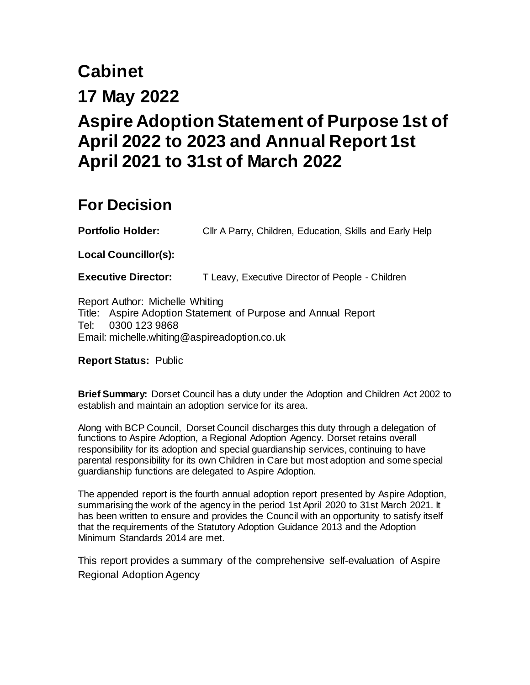# **Cabinet**

# **17 May 2022**

# **Aspire Adoption Statement of Purpose 1st of April 2022 to 2023 and Annual Report 1st April 2021 to 31st of March 2022**

# **For Decision**

**Portfolio Holder:** Cllr A Parry, Children, Education, Skills and Early Help

<span id="page-0-0"></span>**[Local](#page-0-0) Councillor(s):**

**Executive Director:** T Leavy, Executive Director of People - Children

Report Author: Michelle Whiting Title: Aspire Adoption Statement of Purpose and Annual Report Tel: 0300 123 9868 Email: michelle.whiting@aspireadoption.co.uk

**Report Status:** Public

<span id="page-0-1"></span>**[Brief](#page-0-1) Summary:** Dorset Council has a duty under the Adoption and Children Act 2002 to establish and maintain an adoption service for its area.

Along with BCP Council, Dorset Council discharges this duty through a delegation of functions to Aspire Adoption, a Regional Adoption Agency. Dorset retains overall responsibility for its adoption and special guardianship services, continuing to have parental responsibility for its own Children in Care but most adoption and some special guardianship functions are delegated to Aspire Adoption.

The appended report is the fourth annual adoption report presented by Aspire Adoption, summarising the work of the agency in the period 1st April 2020 to 31st March 2021. It has been written to ensure and provides the Council with an opportunity to satisfy itself that the requirements of the Statutory Adoption Guidance 2013 and the Adoption Minimum Standards 2014 are met.

This report provides a summary of the comprehensive self-evaluation of Aspire Regional Adoption Agency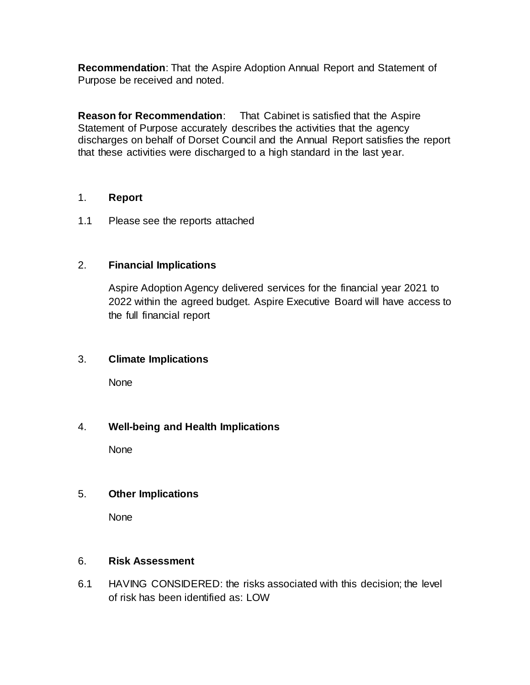**[Recommendation](#page-0-1)**: That the Aspire Adoption Annual Report and Statement of Purpose be received and noted.

<span id="page-1-0"></span>**[Reason](#page-1-0) for Recommendation**: That Cabinet is satisfied that the Aspire Statement of Purpose accurately describes the activities that the agency discharges on behalf of Dorset Council and the Annual Report satisfies the report that these activities were discharged to a high standard in the last year.

#### 1. **Report**

1.1 Please see the reports attached

# 2. **[Financial](#page-1-1) Implications**

<span id="page-1-3"></span><span id="page-1-1"></span>Aspire Adoption Agency delivered services for the financial year 2021 to 2022 within the agreed budget. Aspire Executive Board will have access to the full financial report

# 3. **[Climate](#page-1-2) Implications**

None

# 4. **[Well-being](#page-1-3) and Health Implications**

<span id="page-1-2"></span>None

#### <span id="page-1-4"></span>5. **[Other](#page-1-4) Implications**

<span id="page-1-5"></span>None

#### 6. **[Risk](#page-1-5) Assessment**

6.1 HAVING CONSIDERED: the risks associated with this decision; the level of risk has been identified as: LOW